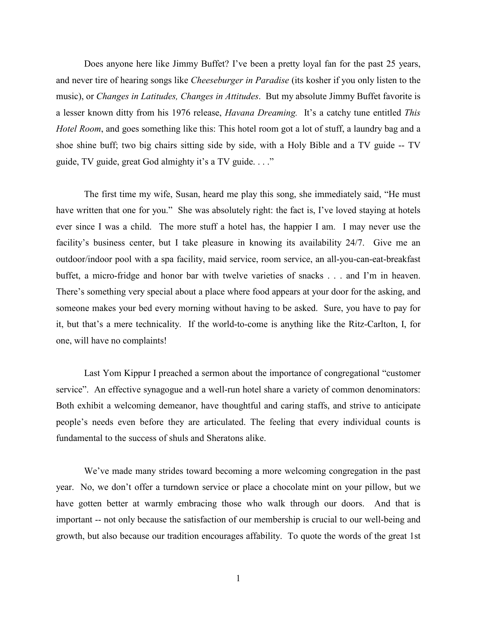Does anyone here like Jimmy Buffet? I've been a pretty loyal fan for the past 25 years, and never tire of hearing songs like *Cheeseburger in Paradise* (its kosher if you only listen to the music), or *Changes in Latitudes, Changes in Attitudes*. But my absolute Jimmy Buffet favorite is a lesser known ditty from his 1976 release, *Havana Dreaming.* It's a catchy tune entitled *This Hotel Room*, and goes something like this: This hotel room got a lot of stuff, a laundry bag and a shoe shine buff; two big chairs sitting side by side, with a Holy Bible and a TV guide -- TV guide, TV guide, great God almighty it's a TV guide. . . ."

The first time my wife, Susan, heard me play this song, she immediately said, "He must have written that one for you." She was absolutely right: the fact is, I've loved staying at hotels ever since I was a child. The more stuff a hotel has, the happier I am. I may never use the facility's business center, but I take pleasure in knowing its availability 24/7. Give me an outdoor/indoor pool with a spa facility, maid service, room service, an all-you-can-eat-breakfast buffet, a micro-fridge and honor bar with twelve varieties of snacks . . . and I'm in heaven. There's something very special about a place where food appears at your door for the asking, and someone makes your bed every morning without having to be asked. Sure, you have to pay for it, but that's a mere technicality. If the world-to-come is anything like the Ritz-Carlton, I, for one, will have no complaints!

Last Yom Kippur I preached a sermon about the importance of congregational "customer service". An effective synagogue and a well-run hotel share a variety of common denominators: Both exhibit a welcoming demeanor, have thoughtful and caring staffs, and strive to anticipate people's needs even before they are articulated. The feeling that every individual counts is fundamental to the success of shuls and Sheratons alike.

We've made many strides toward becoming a more welcoming congregation in the past year. No, we don't offer a turndown service or place a chocolate mint on your pillow, but we have gotten better at warmly embracing those who walk through our doors. And that is important -- not only because the satisfaction of our membership is crucial to our well-being and growth, but also because our tradition encourages affability. To quote the words of the great 1st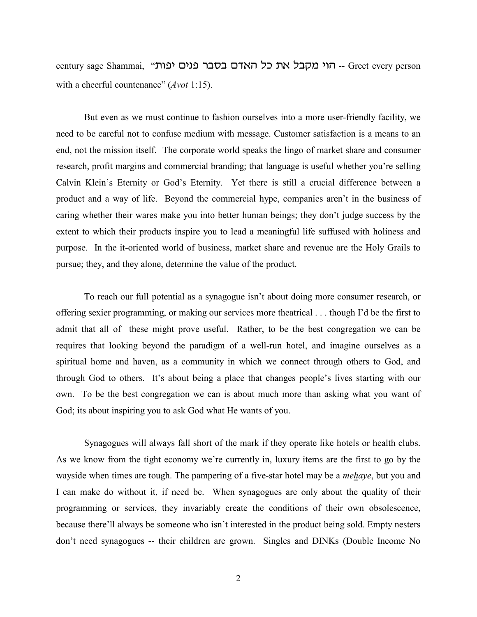century sage Shammai, "יהוי מקבל את כל האדם בסבר פנים יפות -- Greet every person with a cheerful countenance" (*Avot* 1:15).

But even as we must continue to fashion ourselves into a more user-friendly facility, we need to be careful not to confuse medium with message. Customer satisfaction is a means to an end, not the mission itself. The corporate world speaks the lingo of market share and consumer research, profit margins and commercial branding; that language is useful whether you're selling Calvin Klein's Eternity or God's Eternity. Yet there is still a crucial difference between a product and a way of life. Beyond the commercial hype, companies aren't in the business of caring whether their wares make you into better human beings; they don't judge success by the extent to which their products inspire you to lead a meaningful life suffused with holiness and purpose. In the it-oriented world of business, market share and revenue are the Holy Grails to pursue; they, and they alone, determine the value of the product.

To reach our full potential as a synagogue isn't about doing more consumer research, or offering sexier programming, or making our services more theatrical . . . though I'd be the first to admit that all of these might prove useful. Rather, to be the best congregation we can be requires that looking beyond the paradigm of a well-run hotel, and imagine ourselves as a spiritual home and haven, as a community in which we connect through others to God, and through God to others. It's about being a place that changes people's lives starting with our own. To be the best congregation we can is about much more than asking what you want of God; its about inspiring you to ask God what He wants of you.

 Synagogues will always fall short of the mark if they operate like hotels or health clubs. As we know from the tight economy we're currently in, luxury items are the first to go by the wayside when times are tough. The pampering of a five-star hotel may be a *mehaye*, but you and I can make do without it, if need be. When synagogues are only about the quality of their programming or services, they invariably create the conditions of their own obsolescence, because there'll always be someone who isn't interested in the product being sold. Empty nesters don't need synagogues -- their children are grown. Singles and DINKs (Double Income No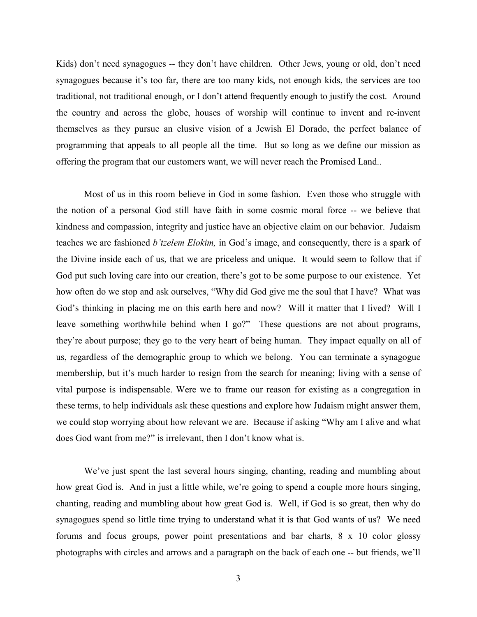Kids) don't need synagogues -- they don't have children. Other Jews, young or old, don't need synagogues because it's too far, there are too many kids, not enough kids, the services are too traditional, not traditional enough, or I don't attend frequently enough to justify the cost. Around the country and across the globe, houses of worship will continue to invent and re-invent themselves as they pursue an elusive vision of a Jewish El Dorado, the perfect balance of programming that appeals to all people all the time. But so long as we define our mission as offering the program that our customers want, we will never reach the Promised Land..

Most of us in this room believe in God in some fashion. Even those who struggle with the notion of a personal God still have faith in some cosmic moral force -- we believe that kindness and compassion, integrity and justice have an objective claim on our behavior. Judaism teaches we are fashioned *b'tzelem Elokim,* in God's image, and consequently, there is a spark of the Divine inside each of us, that we are priceless and unique. It would seem to follow that if God put such loving care into our creation, there's got to be some purpose to our existence. Yet how often do we stop and ask ourselves, "Why did God give me the soul that I have? What was God's thinking in placing me on this earth here and now? Will it matter that I lived? Will I leave something worthwhile behind when I go?" These questions are not about programs, they're about purpose; they go to the very heart of being human. They impact equally on all of us, regardless of the demographic group to which we belong. You can terminate a synagogue membership, but it's much harder to resign from the search for meaning; living with a sense of vital purpose is indispensable. Were we to frame our reason for existing as a congregation in these terms, to help individuals ask these questions and explore how Judaism might answer them, we could stop worrying about how relevant we are. Because if asking "Why am I alive and what does God want from me?" is irrelevant, then I don't know what is.

We've just spent the last several hours singing, chanting, reading and mumbling about how great God is. And in just a little while, we're going to spend a couple more hours singing, chanting, reading and mumbling about how great God is. Well, if God is so great, then why do synagogues spend so little time trying to understand what it is that God wants of us? We need forums and focus groups, power point presentations and bar charts, 8 x 10 color glossy photographs with circles and arrows and a paragraph on the back of each one -- but friends, we'll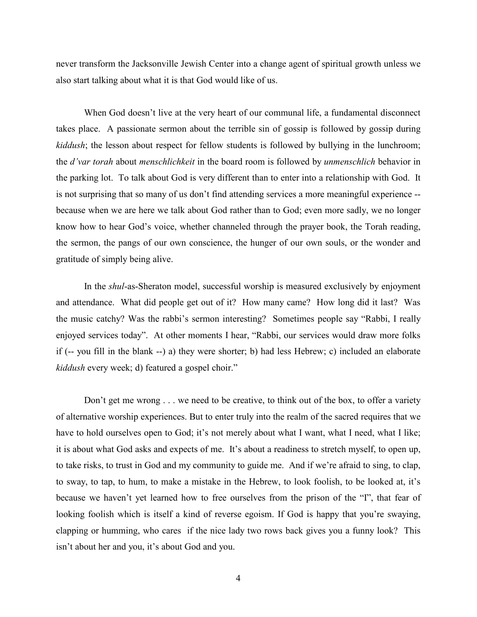never transform the Jacksonville Jewish Center into a change agent of spiritual growth unless we also start talking about what it is that God would like of us.

When God doesn't live at the very heart of our communal life, a fundamental disconnect takes place. A passionate sermon about the terrible sin of gossip is followed by gossip during *kiddush*; the lesson about respect for fellow students is followed by bullying in the lunchroom; the *d'var torah* about *menschlichkeit* in the board room is followed by *unmenschlich* behavior in the parking lot. To talk about God is very different than to enter into a relationship with God. It is not surprising that so many of us don't find attending services a more meaningful experience - because when we are here we talk about God rather than to God; even more sadly, we no longer know how to hear God's voice, whether channeled through the prayer book, the Torah reading, the sermon, the pangs of our own conscience, the hunger of our own souls, or the wonder and gratitude of simply being alive.

In the *shul*-as-Sheraton model, successful worship is measured exclusively by enjoyment and attendance. What did people get out of it? How many came? How long did it last? Was the music catchy? Was the rabbi's sermon interesting? Sometimes people say "Rabbi, I really enjoyed services today". At other moments I hear, "Rabbi, our services would draw more folks if (-- you fill in the blank --) a) they were shorter; b) had less Hebrew; c) included an elaborate *kiddush* every week; d) featured a gospel choir."

Don't get me wrong . . . we need to be creative, to think out of the box, to offer a variety of alternative worship experiences. But to enter truly into the realm of the sacred requires that we have to hold ourselves open to God; it's not merely about what I want, what I need, what I like; it is about what God asks and expects of me. It's about a readiness to stretch myself, to open up, to take risks, to trust in God and my community to guide me. And if we're afraid to sing, to clap, to sway, to tap, to hum, to make a mistake in the Hebrew, to look foolish, to be looked at, it's because we haven't yet learned how to free ourselves from the prison of the "I", that fear of looking foolish which is itself a kind of reverse egoism. If God is happy that you're swaying, clapping or humming, who cares if the nice lady two rows back gives you a funny look? This isn't about her and you, it's about God and you.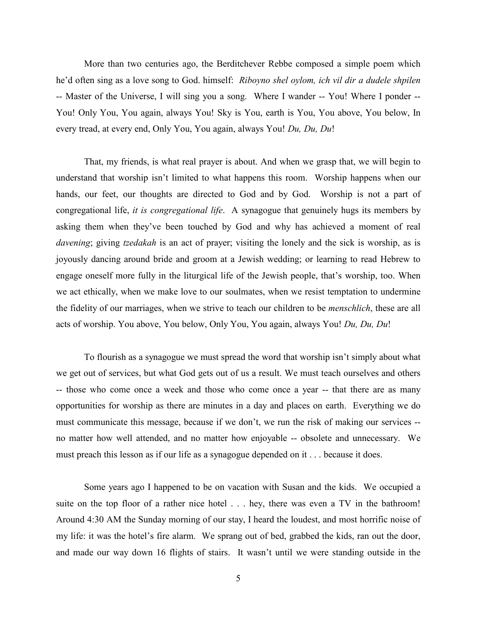More than two centuries ago, the Berditchever Rebbe composed a simple poem which he'd often sing as a love song to God. himself: *Riboyno shel oylom, ich vil dir a dudele shpilen* -- Master of the Universe, I will sing you a song. Where I wander -- You! Where I ponder -- You! Only You, You again, always You! Sky is You, earth is You, You above, You below, In every tread, at every end, Only You, You again, always You! *Du, Du, Du*!

That, my friends, is what real prayer is about. And when we grasp that, we will begin to understand that worship isn't limited to what happens this room. Worship happens when our hands, our feet, our thoughts are directed to God and by God. Worship is not a part of congregational life, *it is congregational life*. A synagogue that genuinely hugs its members by asking them when they've been touched by God and why has achieved a moment of real *davening*; giving *tzedakah* is an act of prayer; visiting the lonely and the sick is worship, as is joyously dancing around bride and groom at a Jewish wedding; or learning to read Hebrew to engage oneself more fully in the liturgical life of the Jewish people, that's worship, too. When we act ethically, when we make love to our soulmates, when we resist temptation to undermine the fidelity of our marriages, when we strive to teach our children to be *menschlich*, these are all acts of worship. You above, You below, Only You, You again, always You! *Du, Du, Du*!

To flourish as a synagogue we must spread the word that worship isn't simply about what we get out of services, but what God gets out of us a result. We must teach ourselves and others -- those who come once a week and those who come once a year -- that there are as many opportunities for worship as there are minutes in a day and places on earth. Everything we do must communicate this message, because if we don't, we run the risk of making our services - no matter how well attended, and no matter how enjoyable -- obsolete and unnecessary. We must preach this lesson as if our life as a synagogue depended on it . . . because it does.

Some years ago I happened to be on vacation with Susan and the kids. We occupied a suite on the top floor of a rather nice hotel . . . hey, there was even a TV in the bathroom! Around 4:30 AM the Sunday morning of our stay, I heard the loudest, and most horrific noise of my life: it was the hotel's fire alarm. We sprang out of bed, grabbed the kids, ran out the door, and made our way down 16 flights of stairs. It wasn't until we were standing outside in the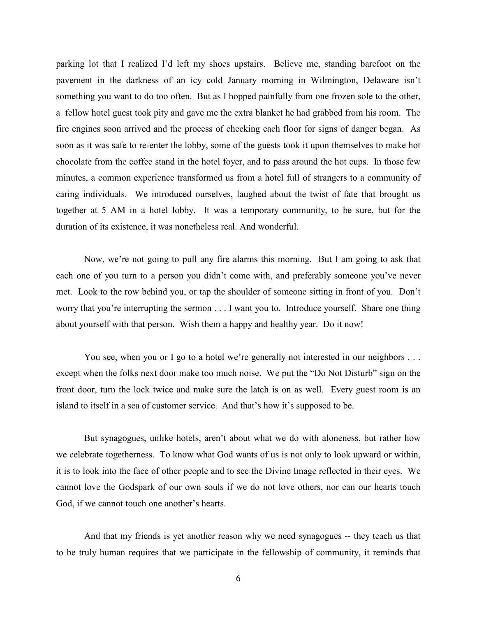parking lot that I realized I'd left my shoes upstairs. Believe me, standing barefoot on the pavement in the darkness of an icy cold January morning in Wilmington, Delaware isn't something you want to do too often. But as I hopped painfully from one frozen sole to the other, a fellow hotel guest took pity and gave me the extra blanket he had grabbed from his room. The fire engines soon arrived and the process of checking each floor for signs of danger began. As soon as it was safe to re-enter the lobby, some of the guests took it upon themselves to make hot chocolate from the coffee stand in the hotel foyer, and to pass around the hot cups. In those few minutes, a common experience transformed us from a hotel full of strangers to a community of caring individuals. We introduced ourselves, laughed about the twist of fate that brought us together at 5 AM in a hotel lobby. It was a temporary community, to be sure, but for the duration of its existence, it was nonetheless real. And wonderful.

Now, we're not going to pull any fire alarms this morning. But I am going to ask that each one of you turn to a person you didn't come with, and preferably someone you've never met. Look to the row behind you, or tap the shoulder of someone sitting in front of you. Don't worry that you're interrupting the sermon . . . I want you to. Introduce yourself. Share one thing about yourself with that person. Wish them a happy and healthy year. Do it now!

You see, when you or I go to a hotel we're generally not interested in our neighbors . . . except when the folks next door make too much noise. We put the "Do Not Disturb" sign on the front door, turn the lock twice and make sure the latch is on as well. Every guest room is an island to itself in a sea of customer service. And that's how it's supposed to be.

But synagogues, unlike hotels, aren't about what we do with aloneness, but rather how we celebrate togetherness. To know what God wants of us is not only to look upward or within, it is to look into the face of other people and to see the Divine Image reflected in their eyes. We cannot love the Godspark of our own souls if we do not love others, nor can our hearts touch God, if we cannot touch one another's hearts.

And that my friends is yet another reason why we need synagogues -- they teach us that to be truly human requires that we participate in the fellowship of community, it reminds that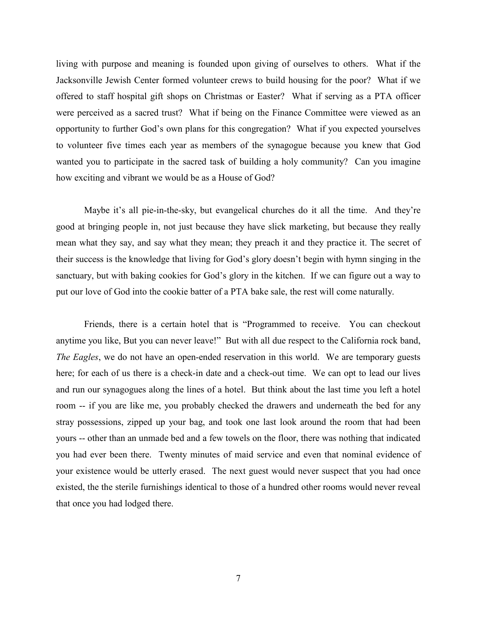living with purpose and meaning is founded upon giving of ourselves to others. What if the Jacksonville Jewish Center formed volunteer crews to build housing for the poor? What if we offered to staff hospital gift shops on Christmas or Easter? What if serving as a PTA officer were perceived as a sacred trust? What if being on the Finance Committee were viewed as an opportunity to further God's own plans for this congregation? What if you expected yourselves to volunteer five times each year as members of the synagogue because you knew that God wanted you to participate in the sacred task of building a holy community? Can you imagine how exciting and vibrant we would be as a House of God?

Maybe it's all pie-in-the-sky, but evangelical churches do it all the time. And they're good at bringing people in, not just because they have slick marketing, but because they really mean what they say, and say what they mean; they preach it and they practice it. The secret of their success is the knowledge that living for God's glory doesn't begin with hymn singing in the sanctuary, but with baking cookies for God's glory in the kitchen. If we can figure out a way to put our love of God into the cookie batter of a PTA bake sale, the rest will come naturally.

Friends, there is a certain hotel that is "Programmed to receive. You can checkout anytime you like, But you can never leave!" But with all due respect to the California rock band, *The Eagles*, we do not have an open-ended reservation in this world. We are temporary guests here; for each of us there is a check-in date and a check-out time. We can opt to lead our lives and run our synagogues along the lines of a hotel. But think about the last time you left a hotel room -- if you are like me, you probably checked the drawers and underneath the bed for any stray possessions, zipped up your bag, and took one last look around the room that had been yours -- other than an unmade bed and a few towels on the floor, there was nothing that indicated you had ever been there. Twenty minutes of maid service and even that nominal evidence of your existence would be utterly erased. The next guest would never suspect that you had once existed, the the sterile furnishings identical to those of a hundred other rooms would never reveal that once you had lodged there.